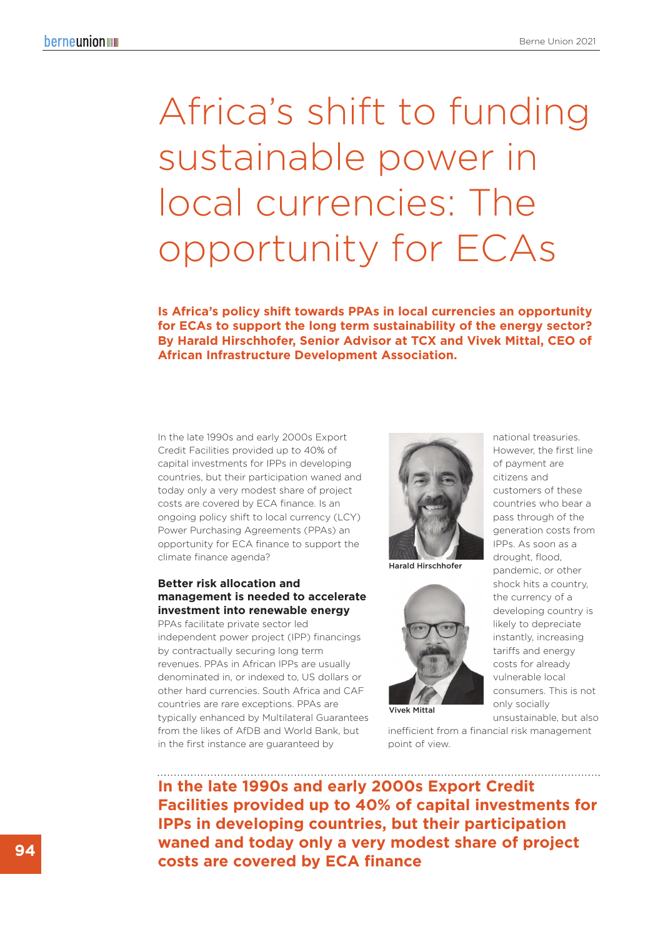# Africa's shift to funding sustainable power in local currencies: The opportunity for ECAs

**Is Africa's policy shift towards PPAs in local currencies an opportunity for ECAs to support the long term sustainability of the energy sector? By Harald Hirschhofer, Senior Advisor at TCX and Vivek Mittal, CEO of African Infrastructure Development Association.**

## In the late 1990s and early 2000s Export Credit Facilities provided up to 40% of capital investments for IPPs in developing countries, but their participation waned and today only a very modest share of project costs are covered by ECA finance. Is an ongoing policy shift to local currency (LCY) Power Purchasing Agreements (PPAs) an opportunity for ECA finance to support the climate finance agenda?

# **Better risk allocation and management is needed to accelerate investment into renewable energy**

PPAs facilitate private sector led independent power project (IPP) financings by contractually securing long term revenues. PPAs in African IPPs are usually denominated in, or indexed to, US dollars or other hard currencies. South Africa and CAF countries are rare exceptions. PPAs are typically enhanced by Multilateral Guarantees from the likes of AfDB and World Bank, but in the first instance are guaranteed by



Harald Hirschhofer



of payment are citizens and customers of these countries who bear a pass through of the generation costs from IPPs. As soon as a drought, flood, pandemic, or other shock hits a country, the currency of a developing country is likely to depreciate instantly, increasing tariffs and energy costs for already vulnerable local consumers. This is not only socially

national treasuries. However, the first line

Vivek Mittal

point of view.

unsustainable, but also inefficient from a financial risk management

**In the late 1990s and early 2000s Export Credit Facilities provided up to 40% of capital investments for IPPs in developing countries, but their participation waned and today only a very modest share of project costs are covered by ECA finance**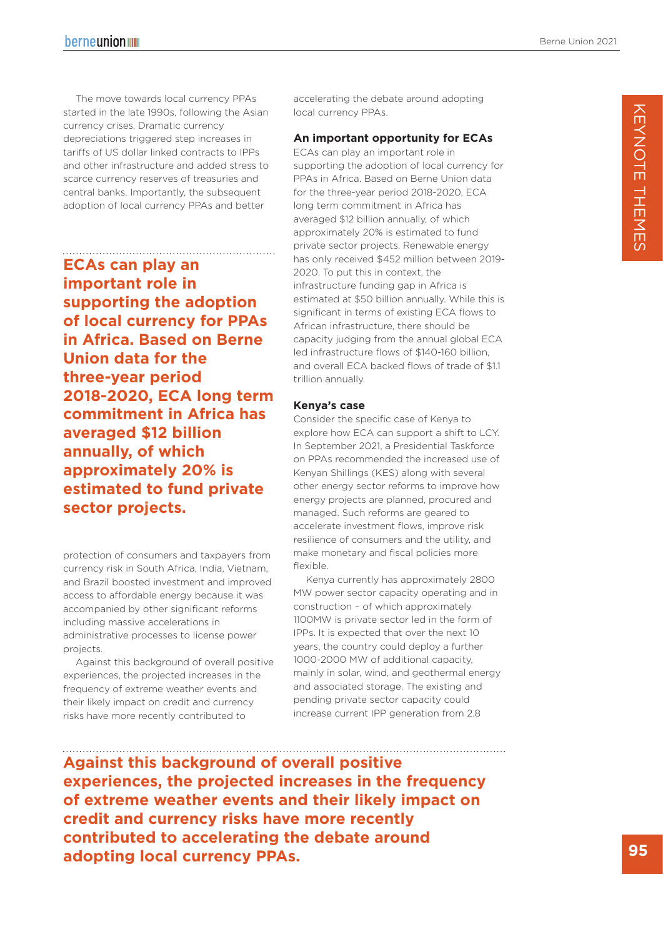The move towards local currency PPAs started in the late 1990s, following the Asian currency crises. Dramatic currency depreciations triggered step increases in tariffs of US dollar linked contracts to IPPs and other infrastructure and added stress to scarce currency reserves of treasuries and central banks. Importantly, the subsequent adoption of local currency PPAs and better

**ECAs can play an important role in supporting the adoption of local currency for PPAs in Africa. Based on Berne Union data for the three-year period 2018-2020, ECA long term commitment in Africa has averaged \$12 billion annually, of which approximately 20% is estimated to fund private sector projects.**

protection of consumers and taxpayers from currency risk in South Africa, India, Vietnam, and Brazil boosted investment and improved access to affordable energy because it was accompanied by other significant reforms including massive accelerations in administrative processes to license power projects.

Against this background of overall positive experiences, the projected increases in the frequency of extreme weather events and their likely impact on credit and currency risks have more recently contributed to

accelerating the debate around adopting local currency PPAs.

### **An important opportunity for ECAs**

ECAs can play an important role in supporting the adoption of local currency for PPAs in Africa. Based on Berne Union data for the three-year period 2018-2020, ECA long term commitment in Africa has averaged \$12 billion annually, of which approximately 20% is estimated to fund private sector projects. Renewable energy has only received \$452 million between 2019- 2020. To put this in context, the infrastructure funding gap in Africa is estimated at \$50 billion annually. While this is significant in terms of existing ECA flows to African infrastructure, there should be capacity judging from the annual global ECA led infrastructure flows of \$140-160 billion, and overall ECA backed flows of trade of \$1.1 trillion annually.

#### **Kenya's case**

Consider the specific case of Kenya to explore how ECA can support a shift to LCY. In September 2021, a Presidential Taskforce on PPAs recommended the increased use of Kenyan Shillings (KES) along with several other energy sector reforms to improve how energy projects are planned, procured and managed. Such reforms are geared to accelerate investment flows, improve risk resilience of consumers and the utility, and make monetary and fiscal policies more flexible.

Kenya currently has approximately 2800 MW power sector capacity operating and in construction – of which approximately 1100MW is private sector led in the form of IPPs. It is expected that over the next 10 years, the country could deploy a further 1000-2000 MW of additional capacity, mainly in solar, wind, and geothermal energy and associated storage. The existing and pending private sector capacity could increase current IPP generation from 2.8

**Against this background of overall positive experiences, the projected increases in the frequency of extreme weather events and their likely impact on credit and currency risks have more recently contributed to accelerating the debate around adopting local currency PPAs.**